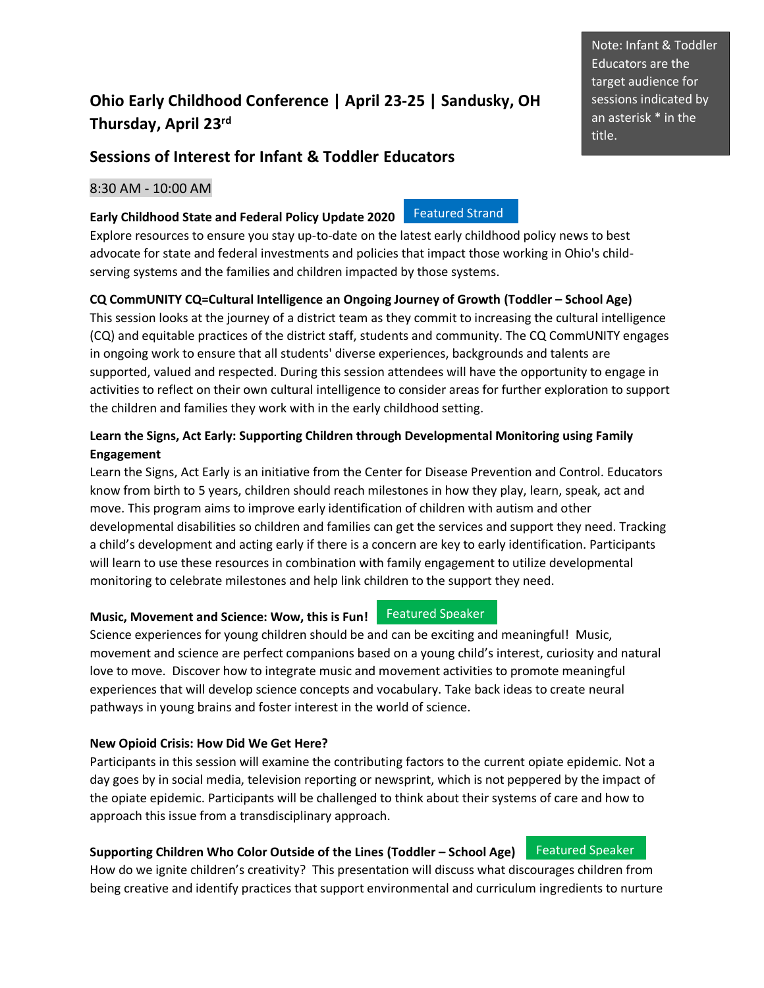# **Ohio Early Childhood Conference | April 23-25 | Sandusky, OH Thursday, April 23 rd**

## **Sessions of Interest for Infant & Toddler Educators**

## 8:30 AM - 10:00 AM

#### **Early Childhood State and Federal Policy Update 2020**

Explore resources to ensure you stay up-to-date on the latest early childhood policy news to best advocate for state and federal investments and policies that impact those working in Ohio's childserving systems and the families and children impacted by those systems.

## **CQ CommUNITY CQ=Cultural Intelligence an Ongoing Journey of Growth (Toddler – School Age)**

This session looks at the journey of a district team as they commit to increasing the cultural intelligence (CQ) and equitable practices of the district staff, students and community. The CQ CommUNITY engages in ongoing work to ensure that all students' diverse experiences, backgrounds and talents are supported, valued and respected. During this session attendees will have the opportunity to engage in activities to reflect on their own cultural intelligence to consider areas for further exploration to support the children and families they work with in the early childhood setting.

## **Learn the Signs, Act Early: Supporting Children through Developmental Monitoring using Family Engagement**

Learn the Signs, Act Early is an initiative from the Center for Disease Prevention and Control. Educators know from birth to 5 years, children should reach milestones in how they play, learn, speak, act and move. This program aims to improve early identification of children with autism and other developmental disabilities so children and families can get the services and support they need. Tracking a child's development and acting early if there is a concern are key to early identification. Participants will learn to use these resources in combination with family engagement to utilize developmental monitoring to celebrate milestones and help link children to the support they need.

## **Music, Movement and Science: Wow, this is Fun!** Featured Speaker

Science experiences for young children should be and can be exciting and meaningful! Music, movement and science are perfect companions based on a young child's interest, curiosity and natural love to move. Discover how to integrate music and movement activities to promote meaningful experiences that will develop science concepts and vocabulary. Take back ideas to create neural pathways in young brains and foster interest in the world of science.

## **New Opioid Crisis: How Did We Get Here?**

Participants in this session will examine the contributing factors to the current opiate epidemic. Not a day goes by in social media, television reporting or newsprint, which is not peppered by the impact of the opiate epidemic. Participants will be challenged to think about their systems of care and how to approach this issue from a transdisciplinary approach.

## **Supporting Children Who Color Outside of the Lines (Toddler – School Age)**

How do we ignite children's creativity? This presentation will discuss what discourages children from being creative and identify practices that support environmental and curriculum ingredients to nurture

Note: Infant & Toddler Educators are the target audience for sessions indicated by an asterisk \* in the title.

Featured Speaker

Featured Strand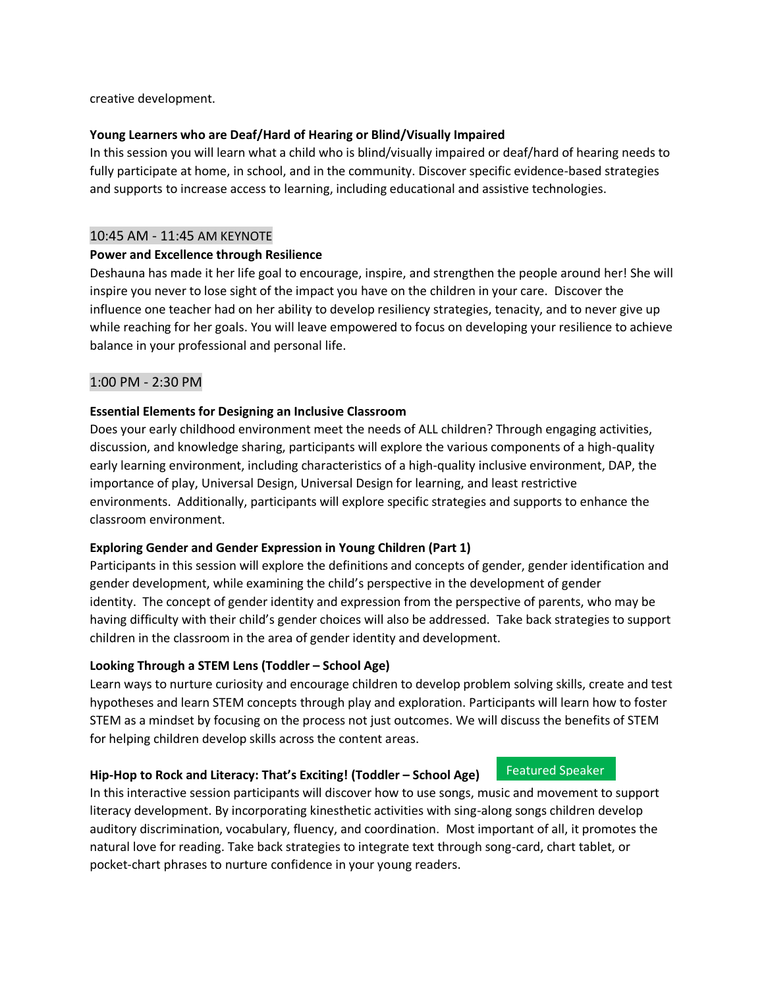creative development.

#### **Young Learners who are Deaf/Hard of Hearing or Blind/Visually Impaired**

In this session you will learn what a child who is blind/visually impaired or deaf/hard of hearing needs to fully participate at home, in school, and in the community. Discover specific evidence-based strategies and supports to increase access to learning, including educational and assistive technologies.

#### 10:45 AM - 11:45 AM KEYNOTE

#### **Power and Excellence through Resilience**

Deshauna has made it her life goal to encourage, inspire, and strengthen the people around her! She will inspire you never to lose sight of the impact you have on the children in your care. Discover the influence one teacher had on her ability to develop resiliency strategies, tenacity, and to never give up while reaching for her goals. You will leave empowered to focus on developing your resilience to achieve balance in your professional and personal life.

### 1:00 PM - 2:30 PM

### **Essential Elements for Designing an Inclusive Classroom**

Does your early childhood environment meet the needs of ALL children? Through engaging activities, discussion, and knowledge sharing, participants will explore the various components of a high-quality early learning environment, including characteristics of a high-quality inclusive environment, DAP, the importance of play, Universal Design, Universal Design for learning, and least restrictive environments. Additionally, participants will explore specific strategies and supports to enhance the classroom environment.

#### **Exploring Gender and Gender Expression in Young Children (Part 1)**

Participants in this session will explore the definitions and concepts of gender, gender identification and gender development, while examining the child's perspective in the development of gender identity. The concept of gender identity and expression from the perspective of parents, who may be having difficulty with their child's gender choices will also be addressed. Take back strategies to support children in the classroom in the area of gender identity and development.

## **Looking Through a STEM Lens (Toddler – School Age)**

Learn ways to nurture curiosity and encourage children to develop problem solving skills, create and test hypotheses and learn STEM concepts through play and exploration. Participants will learn how to foster STEM as a mindset by focusing on the process not just outcomes. We will discuss the benefits of STEM for helping children develop skills across the content areas.

Featured Speaker

#### **Hip-Hop to Rock and Literacy: That's Exciting! (Toddler – School Age)**

In this interactive session participants will discover how to use songs, music and movement to support literacy development. By incorporating kinesthetic activities with sing-along songs children develop auditory discrimination, vocabulary, fluency, and coordination. Most important of all, it promotes the natural love for reading. Take back strategies to integrate text through song-card, chart tablet, or pocket-chart phrases to nurture confidence in your young readers.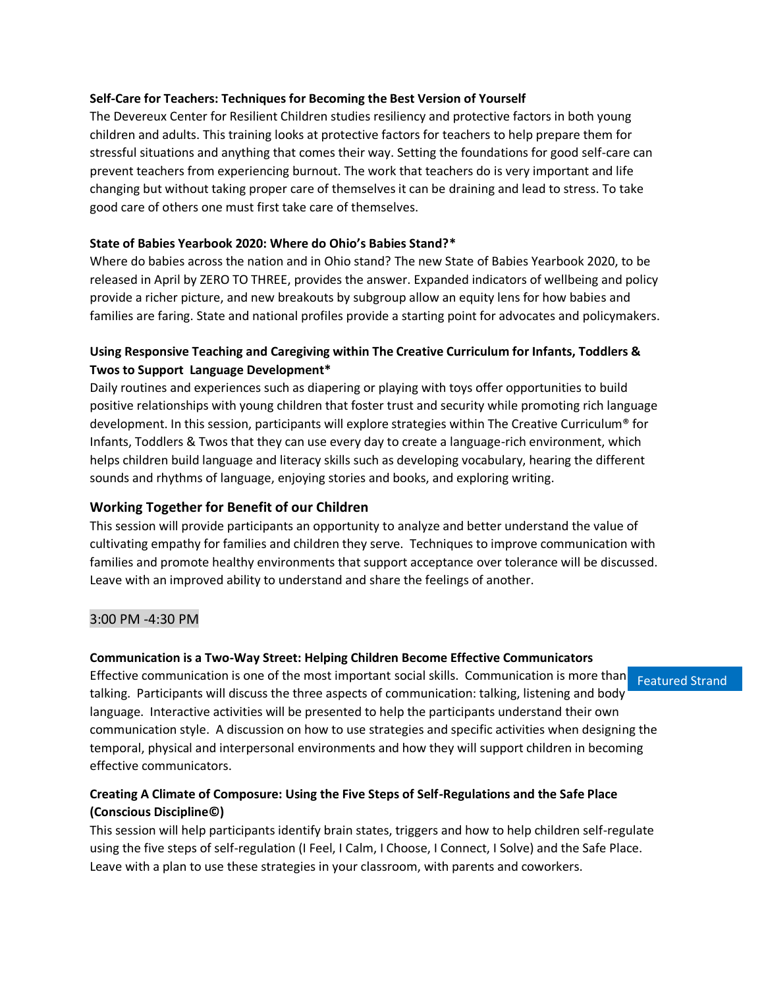#### **Self-Care for Teachers: Techniques for Becoming the Best Version of Yourself**

The Devereux Center for Resilient Children studies resiliency and protective factors in both young children and adults. This training looks at protective factors for teachers to help prepare them for stressful situations and anything that comes their way. Setting the foundations for good self-care can prevent teachers from experiencing burnout. The work that teachers do is very important and life changing but without taking proper care of themselves it can be draining and lead to stress. To take good care of others one must first take care of themselves.

## **State of Babies Yearbook 2020: Where do Ohio's Babies Stand?\***

Where do babies across the nation and in Ohio stand? The new State of Babies Yearbook 2020, to be released in April by ZERO TO THREE, provides the answer. Expanded indicators of wellbeing and policy provide a richer picture, and new breakouts by subgroup allow an equity lens for how babies and families are faring. State and national profiles provide a starting point for advocates and policymakers.

## **Using Responsive Teaching and Caregiving within The Creative Curriculum for Infants, Toddlers & Twos to Support Language Development\***

Daily routines and experiences such as diapering or playing with toys offer opportunities to build positive relationships with young children that foster trust and security while promoting rich language development. In this session, participants will explore strategies within The Creative Curriculum® for Infants, Toddlers & Twos that they can use every day to create a language-rich environment, which helps children build language and literacy skills such as developing vocabulary, hearing the different sounds and rhythms of language, enjoying stories and books, and exploring writing.

## **Working Together for Benefit of our Children**

This session will provide participants an opportunity to analyze and better understand the value of cultivating empathy for families and children they serve. Techniques to improve communication with families and promote healthy environments that support acceptance over tolerance will be discussed. Leave with an improved ability to understand and share the feelings of another.

#### 3:00 PM -4:30 PM

#### **Communication is a Two-Way Street: Helping Children Become Effective Communicators**

Effective communication is one of the most important social skills. Communication is more than seratured Strand talking. Participants will discuss the three aspects of communication: talking, listening and body language. Interactive activities will be presented to help the participants understand their own communication style. A discussion on how to use strategies and specific activities when designing the temporal, physical and interpersonal environments and how they will support children in becoming effective communicators.

## **Creating A Climate of Composure: Using the Five Steps of Self-Regulations and the Safe Place (Conscious Discipline©)**

This session will help participants identify brain states, triggers and how to help children self-regulate using the five steps of self-regulation (I Feel, I Calm, I Choose, I Connect, I Solve) and the Safe Place. Leave with a plan to use these strategies in your classroom, with parents and coworkers.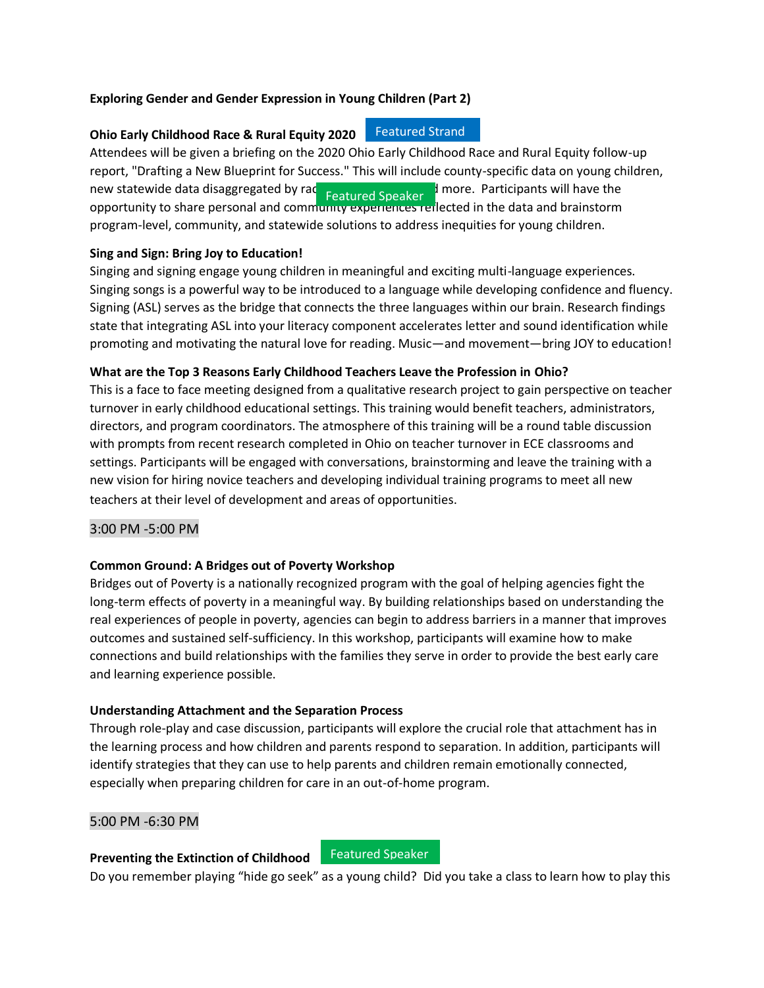### **Exploring Gender and Gender Expression in Young Children (Part 2)**

## **Ohio Early Childhood Race & Rural Equity 2020** Featured Strand

Attendees will be given a briefing on the 2020 Ohio Early Childhood Race and Rural Equity follow-up report, "Drafting a New Blueprint for Success." This will include county-specific data on young children, new statewide data disaggregated by race and geography, and more. Participants will have the opportunity to share personal and community experiences reflected in the data and brainstorm program-level, community, and statewide solutions to address inequities for young children.

### **Sing and Sign: Bring Joy to Education!**

Singing and signing engage young children in meaningful and exciting multi-language experiences. Singing songs is a powerful way to be introduced to a language while developing confidence and fluency. Signing (ASL) serves as the bridge that connects the three languages within our brain. Research findings state that integrating ASL into your literacy component accelerates letter and sound identification while promoting and motivating the natural love for reading. Music—and movement—bring JOY to education!

### **What are the Top 3 Reasons Early Childhood Teachers Leave the Profession in Ohio?**

This is a face to face meeting designed from a qualitative research project to gain perspective on teacher turnover in early childhood educational settings. This training would benefit teachers, administrators, directors, and program coordinators. The atmosphere of this training will be a round table discussion with prompts from recent research completed in Ohio on teacher turnover in ECE classrooms and settings. Participants will be engaged with conversations, brainstorming and leave the training with a new vision for hiring novice teachers and developing individual training programs to meet all new teachers at their level of development and areas of opportunities.

## 3:00 PM -5:00 PM

## **Common Ground: A Bridges out of Poverty Workshop**

Bridges out of Poverty is a nationally recognized program with the goal of helping agencies fight the long-term effects of poverty in a meaningful way. By building relationships based on understanding the real experiences of people in poverty, agencies can begin to address barriers in a manner that improves outcomes and sustained self-sufficiency. In this workshop, participants will examine how to make connections and build relationships with the families they serve in order to provide the best early care and learning experience possible.

## **Understanding Attachment and the Separation Process**

Through role-play and case discussion, participants will explore the crucial role that attachment has in the learning process and how children and parents respond to separation. In addition, participants will identify strategies that they can use to help parents and children remain emotionally connected, especially when preparing children for care in an out-of-home program.

#### 5:00 PM -6:30 PM

## **Preventing the Extinction of Childhood**

Featured Speaker

Do you remember playing "hide go seek" as a young child? Did you take a class to learn how to play this